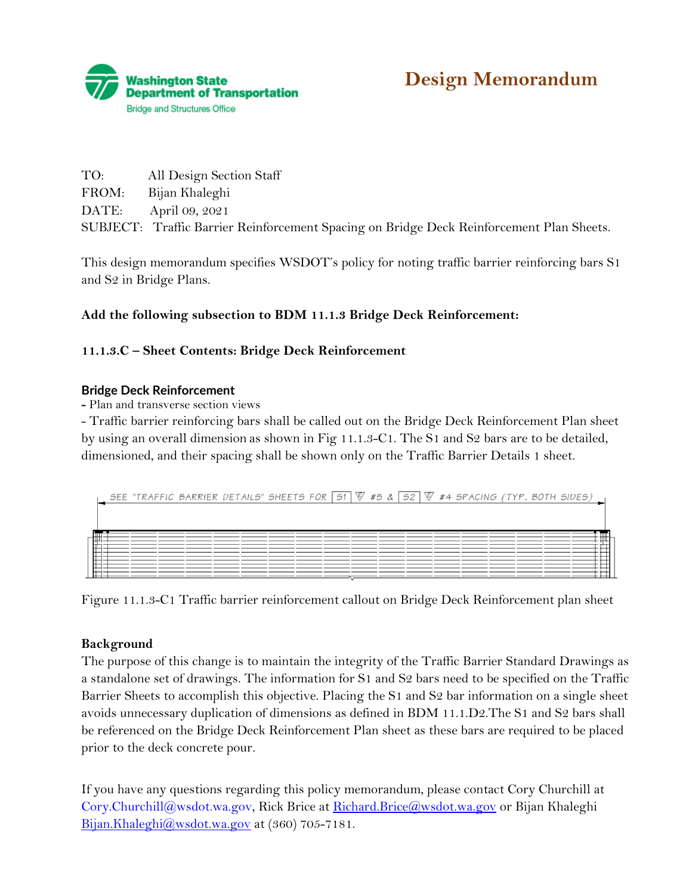

| TO:   | All Design Section Staff                                                                 |
|-------|------------------------------------------------------------------------------------------|
| FROM: | Bijan Khaleghi                                                                           |
|       | DATE: April 09, 2021                                                                     |
|       | SUBJECT: Traffic Barrier Reinforcement Spacing on Bridge Deck Reinforcement Plan Sheets. |

This design memorandum specifies WSDOT's policy for noting traffic barrier reinforcing bars S1 and S2 in Bridge Plans.

## **Add the following subsection to BDM 11.1.3 Bridge Deck Reinforcement:**

## **11.1.3.C – Sheet Contents: Bridge Deck Reinforcement**

## **Bridge Deck Reinforcement**

**-** Plan and transverse section views

- Traffic barrier reinforcing bars shall be called out on the Bridge Deck Reinforcement Plan sheet by using an overall dimension as shown in Fig 11.1.3-C1. The S1 and S2 bars are to be detailed, dimensioned, and their spacing shall be shown only on the Traffic Barrier Details 1 sheet.

|  | SEE "TRAFFIC BARRIER DETAILS" SHEETS FOR $\overline{51}$ $\overline{\mathbb{V}}$ #5 & $\overline{52}$ $\overline{\mathbb{V}}$ #4 SPACING (TYP. BOTH SIDES) |  |  |  |  |  |  |  |
|--|------------------------------------------------------------------------------------------------------------------------------------------------------------|--|--|--|--|--|--|--|
|  |                                                                                                                                                            |  |  |  |  |  |  |  |
|  |                                                                                                                                                            |  |  |  |  |  |  |  |
|  |                                                                                                                                                            |  |  |  |  |  |  |  |
|  |                                                                                                                                                            |  |  |  |  |  |  |  |
|  |                                                                                                                                                            |  |  |  |  |  |  |  |

Figure 11.1.3-C1 Traffic barrier reinforcement callout on Bridge Deck Reinforcement plan sheet

## **Background**

The purpose of this change is to maintain the integrity of the Traffic Barrier Standard Drawings as a standalone set of drawings. The information for S1 and S2 bars need to be specified on the Traffic Barrier Sheets to accomplish this objective. Placing the S1 and S2 bar information on a single sheet avoids unnecessary duplication of dimensions as defined in BDM 11.1.D2.The S1 and S2 bars shall be referenced on the Bridge Deck Reinforcement Plan sheet as these bars are required to be placed prior to the deck concrete pour.

If you have any questions regarding this policy memorandum, please contact Cory Churchill at [Cory.Churchill@wsdot.wa.gov,](about:blank) Rick Brice at [Richard.Brice@wsdot.wa.gov](about:blank) or Bijan Khaleghi [Bijan.Khaleghi@wsdot.wa.gov](about:blank) at (360) 705-7181.